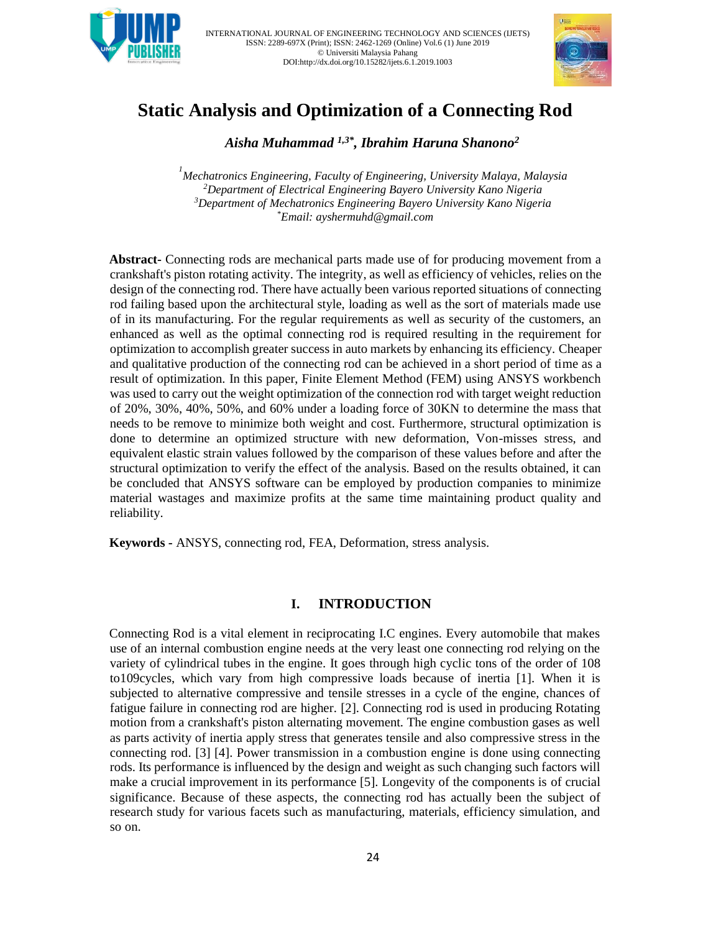



# **Static Analysis and Optimization of a Connecting Rod**

 *Aisha Muhammad 1,3\* , Ibrahim Haruna Shanono<sup>2</sup>*

 *Mechatronics Engineering, Faculty of Engineering, University Malaya, Malaysia Department of Electrical Engineering Bayero University Kano Nigeria Department of Mechatronics Engineering Bayero University Kano Nigeria \*Email: ayshermuhd@gmail.com* 

**Abstract-** Connecting rods are mechanical parts made use of for producing movement from a crankshaft's piston rotating activity. The integrity, as well as efficiency of vehicles, relies on the design of the connecting rod. There have actually been various reported situations of connecting rod failing based upon the architectural style, loading as well as the sort of materials made use of in its manufacturing. For the regular requirements as well as security of the customers, an enhanced as well as the optimal connecting rod is required resulting in the requirement for optimization to accomplish greater success in auto markets by enhancing its efficiency. Cheaper and qualitative production of the connecting rod can be achieved in a short period of time as a result of optimization. In this paper, Finite Element Method (FEM) using ANSYS workbench was used to carry out the weight optimization of the connection rod with target weight reduction of 20%, 30%, 40%, 50%, and 60% under a loading force of 30KN to determine the mass that needs to be remove to minimize both weight and cost. Furthermore, structural optimization is done to determine an optimized structure with new deformation, Von-misses stress, and equivalent elastic strain values followed by the comparison of these values before and after the structural optimization to verify the effect of the analysis. Based on the results obtained, it can be concluded that ANSYS software can be employed by production companies to minimize material wastages and maximize profits at the same time maintaining product quality and reliability.

**Keywords -** ANSYS, connecting rod, FEA, Deformation, stress analysis.

# **I. INTRODUCTION**

Connecting Rod is a vital element in reciprocating I.C engines. Every automobile that makes use of an internal combustion engine needs at the very least one connecting rod relying on the variety of cylindrical tubes in the engine. It goes through high cyclic tons of the order of 108 to109cycles, which vary from high compressive loads because of inertia [1]. When it is subjected to alternative compressive and tensile stresses in a cycle of the engine, chances of fatigue failure in connecting rod are higher. [2]. Connecting rod is used in producing Rotating motion from a crankshaft's piston alternating movement. The engine combustion gases as well as parts activity of inertia apply stress that generates tensile and also compressive stress in the connecting rod. [3] [4]. Power transmission in a combustion engine is done using connecting rods. Its performance is influenced by the design and weight as such changing such factors will make a crucial improvement in its performance [5]. Longevity of the components is of crucial significance. Because of these aspects, the connecting rod has actually been the subject of research study for various facets such as manufacturing, materials, efficiency simulation, and so on.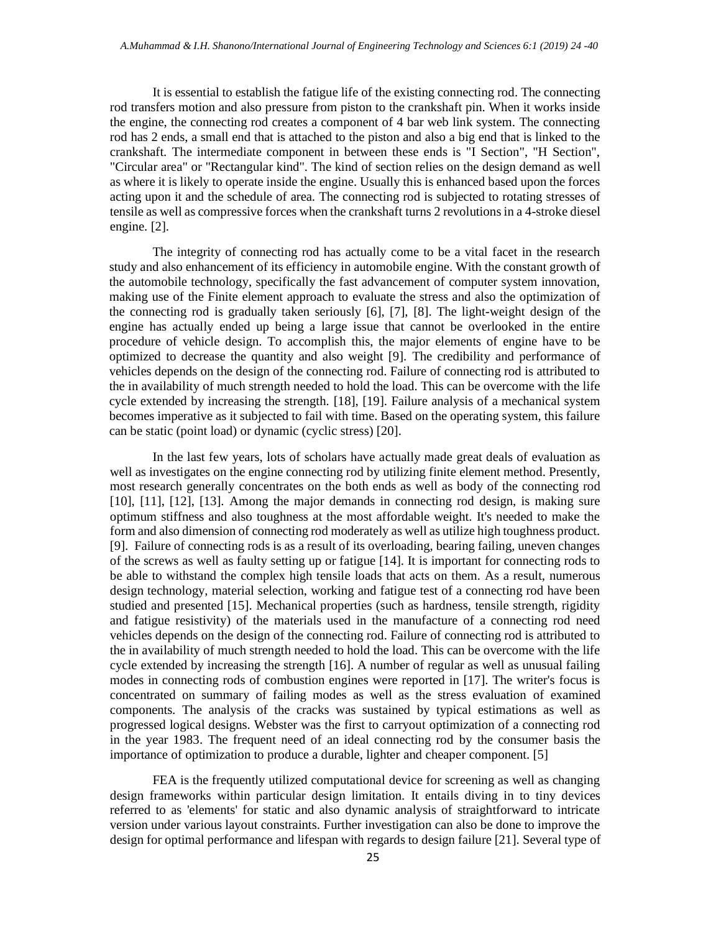It is essential to establish the fatigue life of the existing connecting rod. The connecting rod transfers motion and also pressure from piston to the crankshaft pin. When it works inside the engine, the connecting rod creates a component of 4 bar web link system. The connecting rod has 2 ends, a small end that is attached to the piston and also a big end that is linked to the crankshaft. The intermediate component in between these ends is "I Section", "H Section", "Circular area" or "Rectangular kind". The kind of section relies on the design demand as well as where it is likely to operate inside the engine. Usually this is enhanced based upon the forces acting upon it and the schedule of area. The connecting rod is subjected to rotating stresses of tensile as well as compressive forces when the crankshaft turns 2 revolutions in a 4-stroke diesel engine. [2].

The integrity of connecting rod has actually come to be a vital facet in the research study and also enhancement of its efficiency in automobile engine. With the constant growth of the automobile technology, specifically the fast advancement of computer system innovation, making use of the Finite element approach to evaluate the stress and also the optimization of the connecting rod is gradually taken seriously [6], [7], [8]. The light-weight design of the engine has actually ended up being a large issue that cannot be overlooked in the entire procedure of vehicle design. To accomplish this, the major elements of engine have to be optimized to decrease the quantity and also weight [9]. The credibility and performance of vehicles depends on the design of the connecting rod. Failure of connecting rod is attributed to the in availability of much strength needed to hold the load. This can be overcome with the life cycle extended by increasing the strength. [18], [19]. Failure analysis of a mechanical system becomes imperative as it subjected to fail with time. Based on the operating system, this failure can be static (point load) or dynamic (cyclic stress) [20].

In the last few years, lots of scholars have actually made great deals of evaluation as well as investigates on the engine connecting rod by utilizing finite element method. Presently, most research generally concentrates on the both ends as well as body of the connecting rod [10], [11], [12], [13]. Among the major demands in connecting rod design, is making sure optimum stiffness and also toughness at the most affordable weight. It's needed to make the form and also dimension of connecting rod moderately as well as utilize high toughness product. [9]. Failure of connecting rods is as a result of its overloading, bearing failing, uneven changes of the screws as well as faulty setting up or fatigue [14]. It is important for connecting rods to be able to withstand the complex high tensile loads that acts on them. As a result, numerous design technology, material selection, working and fatigue test of a connecting rod have been studied and presented [15]. Mechanical properties (such as hardness, tensile strength, rigidity and fatigue resistivity) of the materials used in the manufacture of a connecting rod need vehicles depends on the design of the connecting rod. Failure of connecting rod is attributed to the in availability of much strength needed to hold the load. This can be overcome with the life cycle extended by increasing the strength [16]. A number of regular as well as unusual failing modes in connecting rods of combustion engines were reported in [17]. The writer's focus is concentrated on summary of failing modes as well as the stress evaluation of examined components. The analysis of the cracks was sustained by typical estimations as well as progressed logical designs. Webster was the first to carryout optimization of a connecting rod in the year 1983. The frequent need of an ideal connecting rod by the consumer basis the importance of optimization to produce a durable, lighter and cheaper component. [5]

FEA is the frequently utilized computational device for screening as well as changing design frameworks within particular design limitation. It entails diving in to tiny devices referred to as 'elements' for static and also dynamic analysis of straightforward to intricate version under various layout constraints. Further investigation can also be done to improve the design for optimal performance and lifespan with regards to design failure [21]. Several type of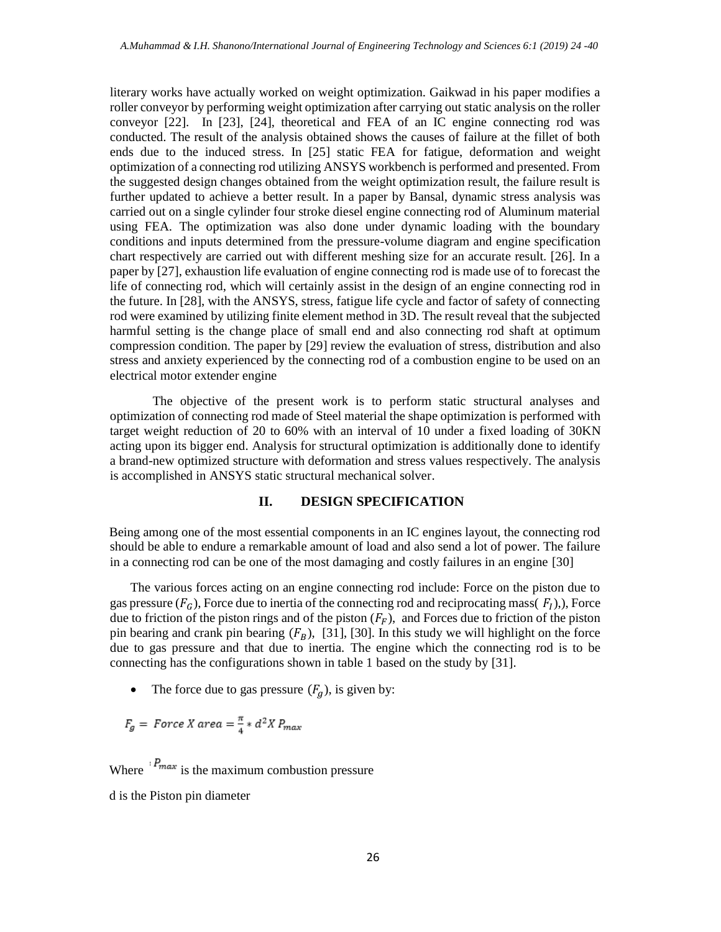literary works have actually worked on weight optimization. Gaikwad in his paper modifies a roller conveyor by performing weight optimization after carrying out static analysis on the roller conveyor [22]. In [23], [24], theoretical and FEA of an IC engine connecting rod was conducted. The result of the analysis obtained shows the causes of failure at the fillet of both ends due to the induced stress. In [25] static FEA for fatigue, deformation and weight optimization of a connecting rod utilizing ANSYS workbench is performed and presented. From the suggested design changes obtained from the weight optimization result, the failure result is further updated to achieve a better result. In a paper by Bansal, dynamic stress analysis was carried out on a single cylinder four stroke diesel engine connecting rod of Aluminum material using FEA. The optimization was also done under dynamic loading with the boundary conditions and inputs determined from the pressure-volume diagram and engine specification chart respectively are carried out with different meshing size for an accurate result. [26]. In a paper by [27], exhaustion life evaluation of engine connecting rod is made use of to forecast the life of connecting rod, which will certainly assist in the design of an engine connecting rod in the future. In [28], with the ANSYS, stress, fatigue life cycle and factor of safety of connecting rod were examined by utilizing finite element method in 3D. The result reveal that the subjected harmful setting is the change place of small end and also connecting rod shaft at optimum compression condition. The paper by [29] review the evaluation of stress, distribution and also stress and anxiety experienced by the connecting rod of a combustion engine to be used on an electrical motor extender engine

The objective of the present work is to perform static structural analyses and optimization of connecting rod made of Steel material the shape optimization is performed with target weight reduction of 20 to 60% with an interval of 10 under a fixed loading of 30KN acting upon its bigger end. Analysis for structural optimization is additionally done to identify a brand-new optimized structure with deformation and stress values respectively. The analysis is accomplished in ANSYS static structural mechanical solver.

# **II. DESIGN SPECIFICATION**

Being among one of the most essential components in an IC engines layout, the connecting rod should be able to endure a remarkable amount of load and also send a lot of power. The failure in a connecting rod can be one of the most damaging and costly failures in an engine [30]

The various forces acting on an engine connecting rod include: Force on the piston due to gas pressure  $(F_G)$ , Force due to inertia of the connecting rod and reciprocating mass( $F_I$ ),), Force due to friction of the piston rings and of the piston  $(F_F)$ , and Forces due to friction of the piston pin bearing and crank pin bearing  $(F_B)$ , [31], [30]. In this study we will highlight on the force due to gas pressure and that due to inertia. The engine which the connecting rod is to be connecting has the configurations shown in table 1 based on the study by [31].

The force due to gas pressure  $(F_q)$ , is given by:

$$
F_g = Force X area = \frac{\pi}{4} * d^2 X P_{max}
$$

Where  $\frac{P_{max}}{P_{max}}$  is the maximum combustion pressure

d is the Piston pin diameter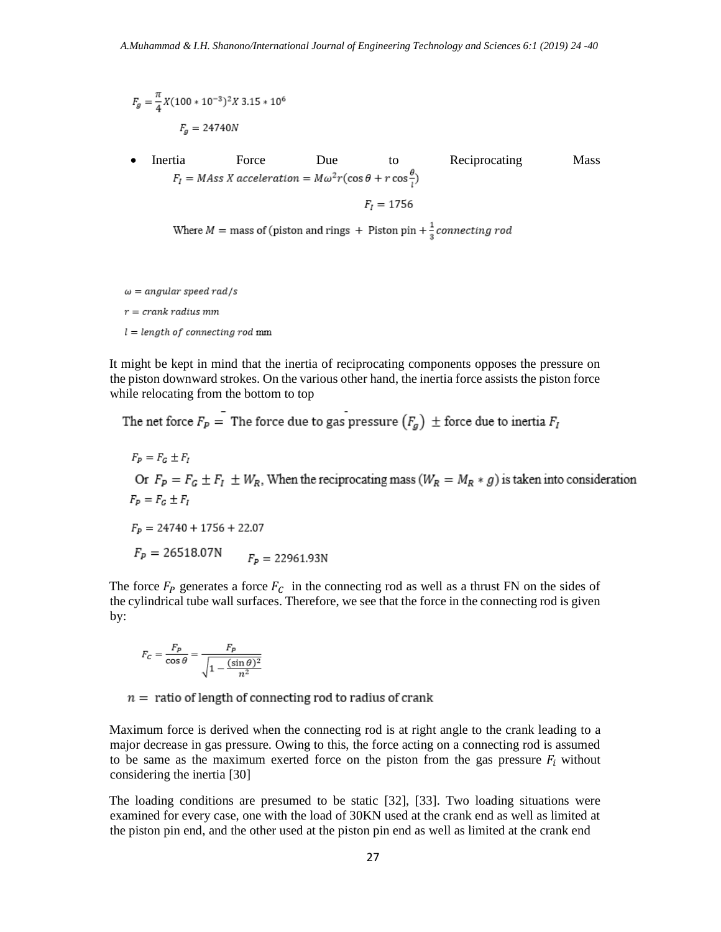$$
F_g = \frac{\pi}{4} X (100 * 10^{-3})^2 X 3.15 * 10^6
$$
  

$$
F_g = 24740N
$$

• Inertia Force Due to Reciprocating Mass  $F_I = M Ass X acceleration = M\omega^2 r(\cos\theta + r\cos\frac{\theta}{r})$  $F_t = 1756$ 

Where  $M =$  mass of (piston and rings + Piston pin +  $\frac{1}{3}$  connecting rod

 $\omega = angular$  speed rad/s

 $r =$  crank radius mm

 $l = length of connecting rod mm$ 

It might be kept in mind that the inertia of reciprocating components opposes the pressure on the piston downward strokes. On the various other hand, the inertia force assists the piston force while relocating from the bottom to top

The net force  $F_p$  = The force due to gas pressure  $(F_g)$   $\pm$  force due to inertia  $F_I$ 

$$
F_p = F_G \pm F_I
$$
  
Or  $F_p = F_G \pm F_I \pm W_R$ , When the reciprocating mass  $(W_R = M_R * g)$  is taken into consideration  
 $F_p = F_G \pm F_I$   
 $F_p = 24740 + 1756 + 22.07$   
 $F_p = 26518.07N$   $F_p = 22961.93N$ 

The force  $F_P$  generates a force  $F_C$  in the connecting rod as well as a thrust FN on the sides of the cylindrical tube wall surfaces. Therefore, we see that the force in the connecting rod is given by:

$$
F_C = \frac{F_P}{\cos \theta} = \frac{F_P}{\sqrt{1 - \frac{(\sin \theta)^2}{n^2}}}
$$

 $n =$  ratio of length of connecting rod to radius of crank

Maximum force is derived when the connecting rod is at right angle to the crank leading to a major decrease in gas pressure. Owing to this, the force acting on a connecting rod is assumed to be same as the maximum exerted force on the piston from the gas pressure  $F_i$  without considering the inertia [30]

The loading conditions are presumed to be static [32], [33]. Two loading situations were examined for every case, one with the load of 30KN used at the crank end as well as limited at the piston pin end, and the other used at the piston pin end as well as limited at the crank end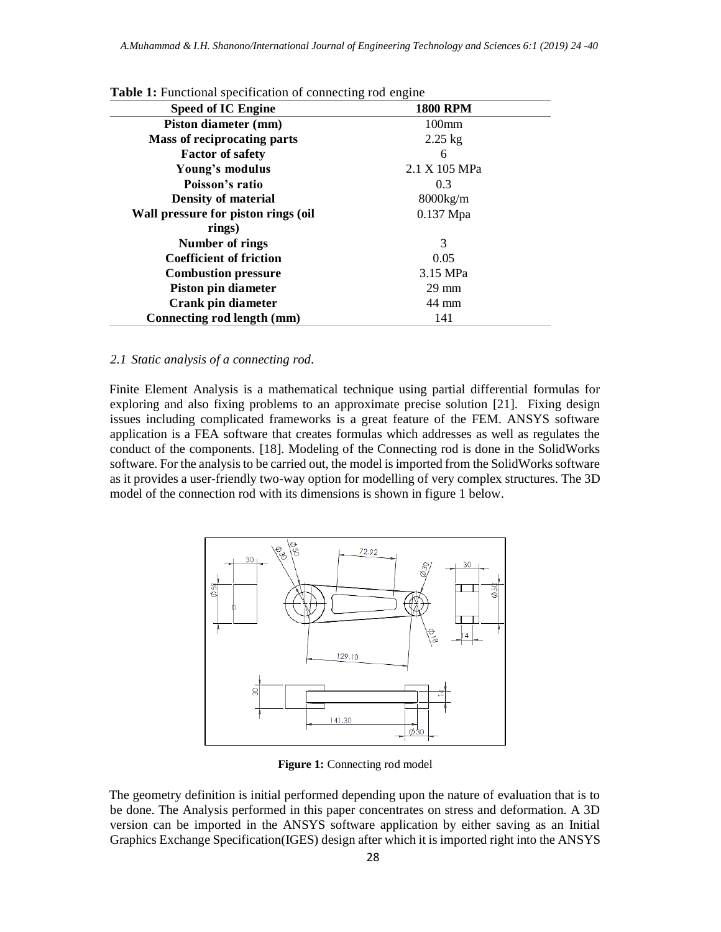| <b>Speed of IC Engine</b>           | <b>1800 RPM</b> |
|-------------------------------------|-----------------|
| Piston diameter (mm)                | $100$ mm        |
| Mass of reciprocating parts         | $2.25$ kg       |
| <b>Factor of safety</b>             | 6               |
| Young's modulus                     | 2.1 X 105 MPa   |
| Poisson's ratio                     | 0.3             |
| <b>Density of material</b>          | 8000kg/m        |
| Wall pressure for piston rings (oil | $0.137$ Mpa     |
| rings)                              |                 |
| Number of rings                     | 3               |
| <b>Coefficient of friction</b>      | 0.05            |
| <b>Combustion pressure</b>          | 3.15 MPa        |
| Piston pin diameter                 | $29 \text{ mm}$ |
| Crank pin diameter                  | 44 mm           |
| Connecting rod length (mm)          | 141             |

## **Table 1:** Functional specification of connecting rod engine

#### *2.1 Static analysis of a connecting rod.*

Finite Element Analysis is a mathematical technique using partial differential formulas for exploring and also fixing problems to an approximate precise solution [21]. Fixing design issues including complicated frameworks is a great feature of the FEM. ANSYS software application is a FEA software that creates formulas which addresses as well as regulates the conduct of the components. [18]. Modeling of the Connecting rod is done in the SolidWorks software. For the analysis to be carried out, the model is imported from the SolidWorks software as it provides a user-friendly two-way option for modelling of very complex structures. The 3D model of the connection rod with its dimensions is shown in figure 1 below.



**Figure 1:** Connecting rod model

The geometry definition is initial performed depending upon the nature of evaluation that is to be done. The Analysis performed in this paper concentrates on stress and deformation. A 3D version can be imported in the ANSYS software application by either saving as an Initial Graphics Exchange Specification(IGES) design after which it is imported right into the ANSYS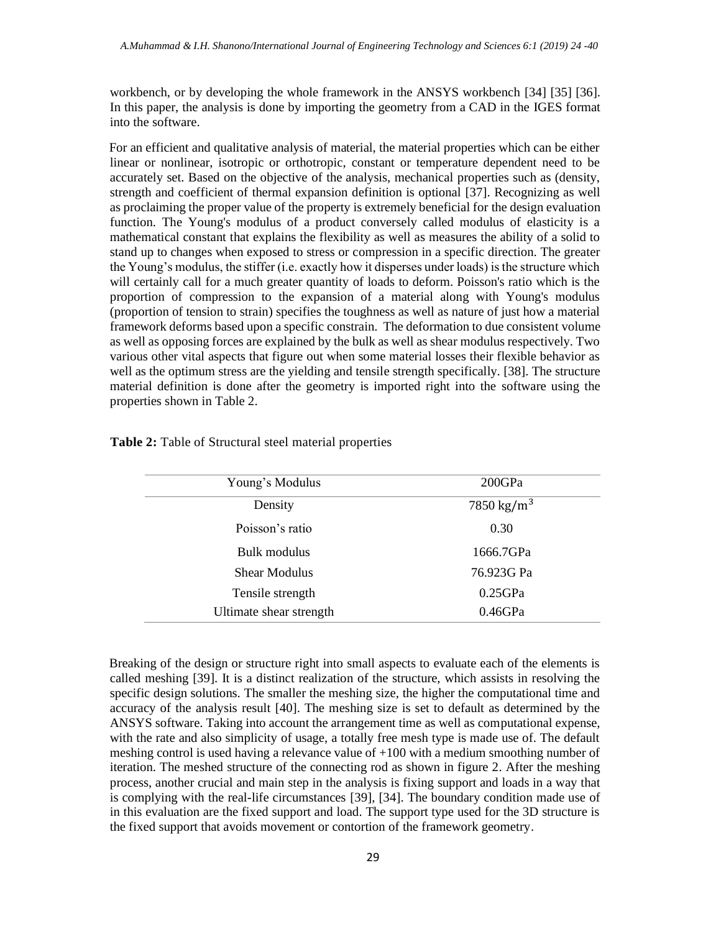workbench, or by developing the whole framework in the ANSYS workbench [34] [35] [36]. In this paper, the analysis is done by importing the geometry from a CAD in the IGES format into the software.

For an efficient and qualitative analysis of material, the material properties which can be either linear or nonlinear, isotropic or orthotropic, constant or temperature dependent need to be accurately set. Based on the objective of the analysis, mechanical properties such as (density, strength and coefficient of thermal expansion definition is optional [37]. Recognizing as well as proclaiming the proper value of the property is extremely beneficial for the design evaluation function. The Young's modulus of a product conversely called modulus of elasticity is a mathematical constant that explains the flexibility as well as measures the ability of a solid to stand up to changes when exposed to stress or compression in a specific direction. The greater the Young's modulus, the stiffer (i.e. exactly how it disperses under loads) is the structure which will certainly call for a much greater quantity of loads to deform. Poisson's ratio which is the proportion of compression to the expansion of a material along with Young's modulus (proportion of tension to strain) specifies the toughness as well as nature of just how a material framework deforms based upon a specific constrain. The deformation to due consistent volume as well as opposing forces are explained by the bulk as well as shear modulus respectively. Two various other vital aspects that figure out when some material losses their flexible behavior as well as the optimum stress are the yielding and tensile strength specifically. [38]. The structure material definition is done after the geometry is imported right into the software using the properties shown in Table 2.

| Young's Modulus         | 200GPa                 |
|-------------------------|------------------------|
| Density                 | 7850 kg/m <sup>3</sup> |
| Poisson's ratio         | 0.30                   |
| Bulk modulus            | 1666.7GPa              |
| <b>Shear Modulus</b>    | 76.923G Pa             |
| Tensile strength        | $0.25$ GPa             |
| Ultimate shear strength | $0.46$ GPa             |

|  |  |  | Table 2: Table of Structural steel material properties |
|--|--|--|--------------------------------------------------------|
|--|--|--|--------------------------------------------------------|

Breaking of the design or structure right into small aspects to evaluate each of the elements is called meshing [39]. It is a distinct realization of the structure, which assists in resolving the specific design solutions. The smaller the meshing size, the higher the computational time and accuracy of the analysis result [40]. The meshing size is set to default as determined by the ANSYS software. Taking into account the arrangement time as well as computational expense, with the rate and also simplicity of usage, a totally free mesh type is made use of. The default meshing control is used having a relevance value of +100 with a medium smoothing number of iteration. The meshed structure of the connecting rod as shown in figure 2. After the meshing process, another crucial and main step in the analysis is fixing support and loads in a way that is complying with the real-life circumstances [39], [34]. The boundary condition made use of in this evaluation are the fixed support and load. The support type used for the 3D structure is the fixed support that avoids movement or contortion of the framework geometry.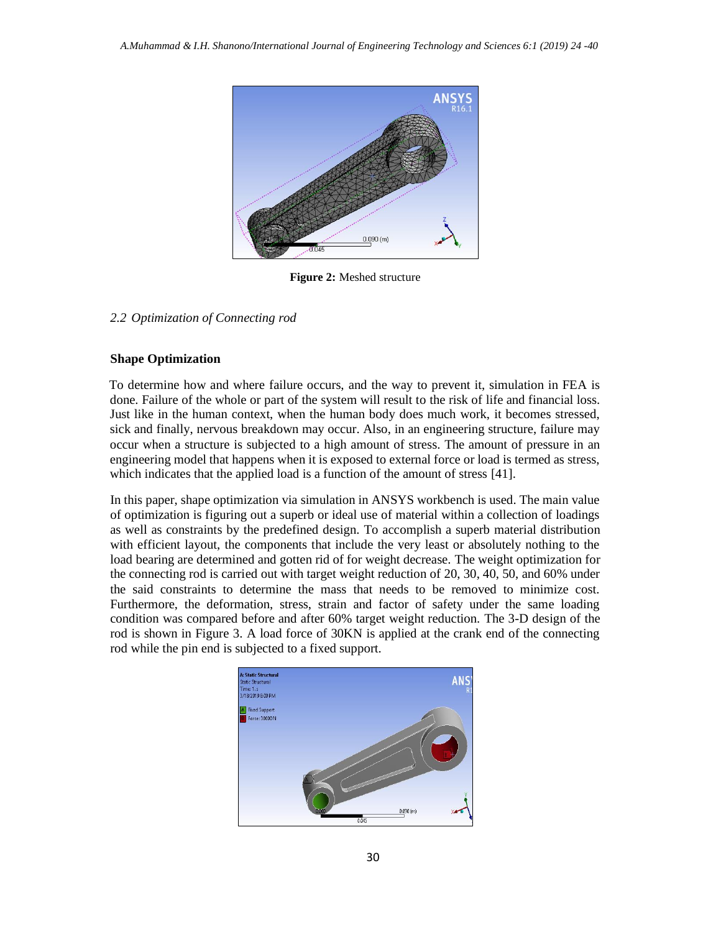

**Figure 2:** Meshed structure

### *2.2 Optimization of Connecting rod*

### **Shape Optimization**

To determine how and where failure occurs, and the way to prevent it, simulation in FEA is done. Failure of the whole or part of the system will result to the risk of life and financial loss. Just like in the human context, when the human body does much work, it becomes stressed, sick and finally, nervous breakdown may occur. Also, in an engineering structure, failure may occur when a structure is subjected to a high amount of stress. The amount of pressure in an engineering model that happens when it is exposed to external force or load is termed as stress, which indicates that the applied load is a function of the amount of stress [41].

In this paper, shape optimization via simulation in ANSYS workbench is used. The main value of optimization is figuring out a superb or ideal use of material within a collection of loadings as well as constraints by the predefined design. To accomplish a superb material distribution with efficient layout, the components that include the very least or absolutely nothing to the load bearing are determined and gotten rid of for weight decrease. The weight optimization for the connecting rod is carried out with target weight reduction of 20, 30, 40, 50, and 60% under the said constraints to determine the mass that needs to be removed to minimize cost. Furthermore, the deformation, stress, strain and factor of safety under the same loading condition was compared before and after 60% target weight reduction. The 3-D design of the rod is shown in Figure 3. A load force of 30KN is applied at the crank end of the connecting rod while the pin end is subjected to a fixed support.

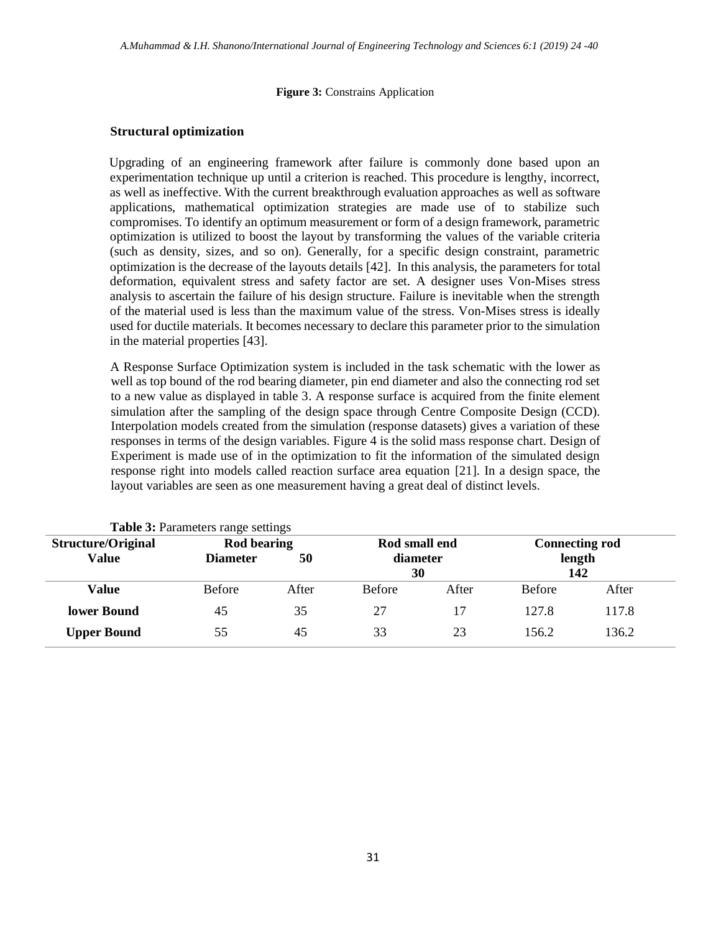#### **Figure 3:** Constrains Application

#### **Structural optimization**

Upgrading of an engineering framework after failure is commonly done based upon an experimentation technique up until a criterion is reached. This procedure is lengthy, incorrect, as well as ineffective. With the current breakthrough evaluation approaches as well as software applications, mathematical optimization strategies are made use of to stabilize such compromises. To identify an optimum measurement or form of a design framework, parametric optimization is utilized to boost the layout by transforming the values of the variable criteria (such as density, sizes, and so on). Generally, for a specific design constraint, parametric optimization is the decrease of the layouts details [42]. In this analysis, the parameters for total deformation, equivalent stress and safety factor are set. A designer uses Von-Mises stress analysis to ascertain the failure of his design structure. Failure is inevitable when the strength of the material used is less than the maximum value of the stress. Von-Mises stress is ideally used for ductile materials. It becomes necessary to declare this parameter prior to the simulation in the material properties [43].

A Response Surface Optimization system is included in the task schematic with the lower as well as top bound of the rod bearing diameter, pin end diameter and also the connecting rod set to a new value as displayed in table 3. A response surface is acquired from the finite element simulation after the sampling of the design space through Centre Composite Design (CCD). Interpolation models created from the simulation (response datasets) gives a variation of these responses in terms of the design variables. Figure 4 is the solid mass response chart. Design of Experiment is made use of in the optimization to fit the information of the simulated design response right into models called reaction surface area equation [21]. In a design space, the layout variables are seen as one measurement having a great deal of distinct levels.

| <b>rapic 5:</b> I alameters range settings |                 |               |               |                       |               |       |
|--------------------------------------------|-----------------|---------------|---------------|-----------------------|---------------|-------|
| Structure/Original<br><b>Rod bearing</b>   |                 | Rod small end |               | <b>Connecting rod</b> |               |       |
| Value                                      | <b>Diameter</b> | 50            | diameter      |                       | length        |       |
|                                            |                 |               | 30            |                       | 142           |       |
| Value                                      | <b>Before</b>   | After         | <b>Before</b> | After                 | <b>Before</b> | After |
| lower Bound                                | 45              | 35            | 27            |                       | 127.8         | 117.8 |
| <b>Upper Bound</b>                         | 55              | 45            | 33            | 23                    | 156.2         | 136.2 |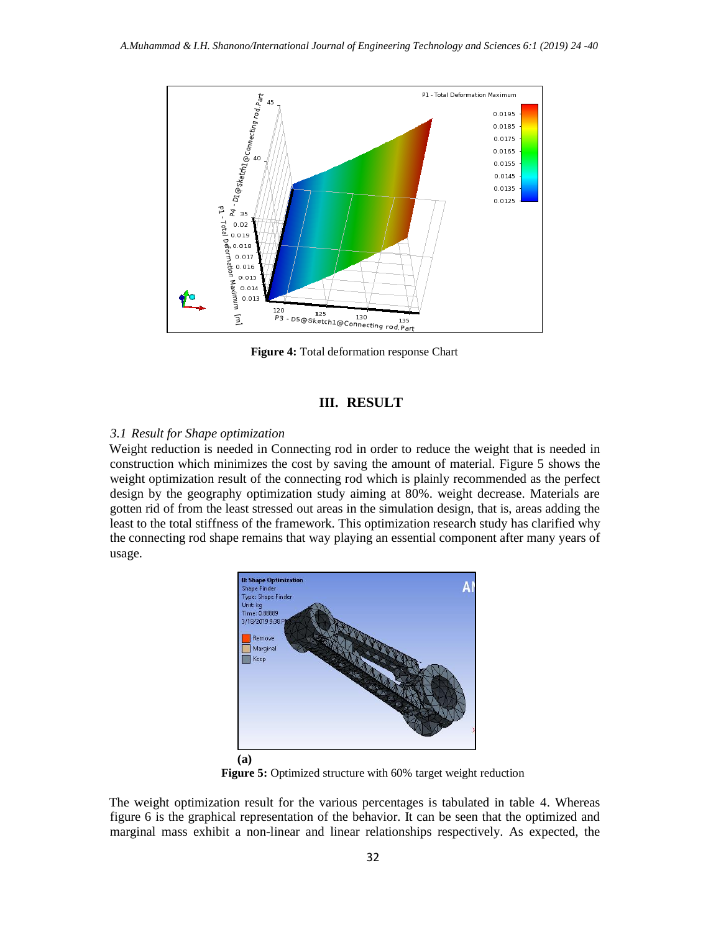

**Figure 4:** Total deformation response Chart

## **III. RESULT**

## *3.1 Result for Shape optimization*

Weight reduction is needed in Connecting rod in order to reduce the weight that is needed in construction which minimizes the cost by saving the amount of material. Figure 5 shows the weight optimization result of the connecting rod which is plainly recommended as the perfect design by the geography optimization study aiming at 80%. weight decrease. Materials are gotten rid of from the least stressed out areas in the simulation design, that is, areas adding the least to the total stiffness of the framework. This optimization research study has clarified why the connecting rod shape remains that way playing an essential component after many years of usage.



**Figure 5:** Optimized structure with 60% target weight reduction

The weight optimization result for the various percentages is tabulated in table 4. Whereas figure 6 is the graphical representation of the behavior. It can be seen that the optimized and marginal mass exhibit a non-linear and linear relationships respectively. As expected, the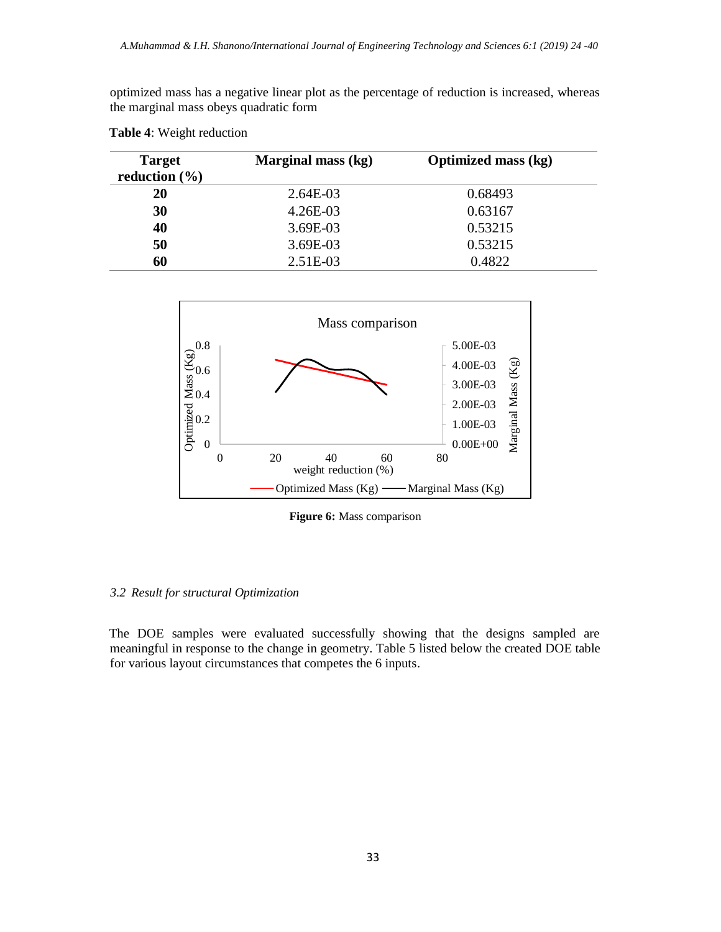optimized mass has a negative linear plot as the percentage of reduction is increased, whereas the marginal mass obeys quadratic form

| <b>Target</b><br>reduction $(\% )$ | Marginal mass (kg) | <b>Optimized mass (kg)</b> |
|------------------------------------|--------------------|----------------------------|
| 20                                 | 2.64E-03           | 0.68493                    |
| 30                                 | $4.26E-03$         | 0.63167                    |
| 40                                 | 3.69E-03           | 0.53215                    |
| 50                                 | 3.69E-03           | 0.53215                    |
| 60                                 | 2.51E-03           | 0.4822                     |





**Figure 6:** Mass comparison

### *3.2 Result for structural Optimization*

The DOE samples were evaluated successfully showing that the designs sampled are meaningful in response to the change in geometry. Table 5 listed below the created DOE table for various layout circumstances that competes the 6 inputs.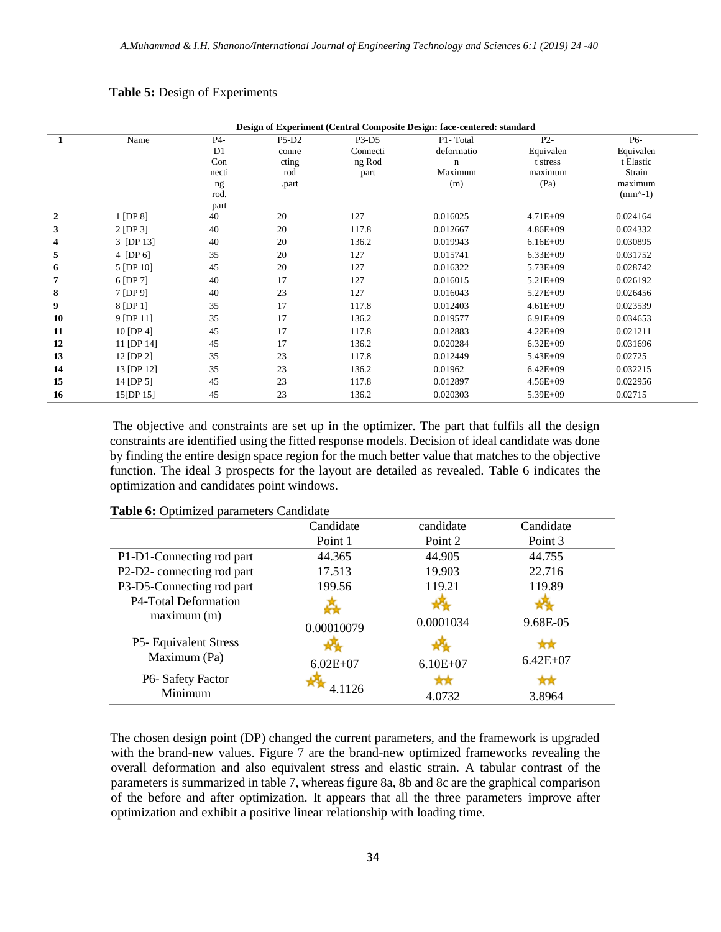|    |                |                |              |          | Design of Experiment (Central Composite Design: face-centered: standard |                     |                     |
|----|----------------|----------------|--------------|----------|-------------------------------------------------------------------------|---------------------|---------------------|
| 1  | Name           | P4-            | $P5-D2$      | P3-D5    | P1-Total                                                                | $P2-$               | P6-                 |
|    |                | D <sub>1</sub> | conne        | Connecti | deformatio                                                              | Equivalen           | Equivalen           |
|    |                | Con<br>necti   | cting<br>rod | ng Rod   | $\mathbf n$<br>Maximum                                                  | t stress<br>maximum | t Elastic<br>Strain |
|    |                | ng             | .part        | part     | (m)                                                                     | (Pa)                | maximum             |
|    |                | rod.           |              |          |                                                                         |                     | $(mm^2-1)$          |
|    |                | part           |              |          |                                                                         |                     |                     |
| 2  | $1$ [DP $8$ ]  | 40             | 20           | 127      | 0.016025                                                                | $4.71E + 09$        | 0.024164            |
| 3  | $2$ [DP 3]     | 40             | 20           | 117.8    | 0.012667                                                                | $4.86E + 09$        | 0.024332            |
| 4  | 3 [DP 13]      | 40             | 20           | 136.2    | 0.019943                                                                | $6.16E + 09$        | 0.030895            |
| 5  | 4 [DP 6]       | 35             | 20           | 127      | 0.015741                                                                | $6.33E + 09$        | 0.031752            |
| 6  | 5 [DP 10]      | 45             | 20           | 127      | 0.016322                                                                | $5.73E + 09$        | 0.028742            |
| 7  | 6 [DP 7]       | 40             | 17           | 127      | 0.016015                                                                | $5.21E + 09$        | 0.026192            |
| 8  | 7 [DP 9]       | 40             | 23           | 127      | 0.016043                                                                | $5.27E + 09$        | 0.026456            |
| 9  | 8 [DP 1]       | 35             | 17           | 117.8    | 0.012403                                                                | $4.61E + 09$        | 0.023539            |
| 10 | 9 [DP 11]      | 35             | 17           | 136.2    | 0.019577                                                                | $6.91E+09$          | 0.034653            |
| 11 | $10$ [DP 4]    | 45             | 17           | 117.8    | 0.012883                                                                | $4.22E + 09$        | 0.021211            |
| 12 | 11 [DP 14]     | 45             | 17           | 136.2    | 0.020284                                                                | $6.32E + 09$        | 0.031696            |
| 13 | $12$ [DP $2$ ] | 35             | 23           | 117.8    | 0.012449                                                                | $5.43E + 09$        | 0.02725             |
| 14 | 13 [DP 12]     | 35             | 23           | 136.2    | 0.01962                                                                 | $6.42E + 09$        | 0.032215            |
| 15 | $14$ [DP 5]    | 45             | 23           | 117.8    | 0.012897                                                                | $4.56E + 09$        | 0.022956            |
| 16 | 15[DP 15]      | 45             | 23           | 136.2    | 0.020303                                                                | $5.39E+09$          | 0.02715             |

#### **Table 5:** Design of Experiments

The objective and constraints are set up in the optimizer. The part that fulfils all the design constraints are identified using the fitted response models. Decision of ideal candidate was done by finding the entire design space region for the much better value that matches to the objective function. The ideal 3 prospects for the layout are detailed as revealed. Table 6 indicates the optimization and candidates point windows.

|                           | Candidate    | candidate    | Candidate    |  |
|---------------------------|--------------|--------------|--------------|--|
|                           | Point 1      | Point 2      | Point 3      |  |
| P1-D1-Connecting rod part | 44.365       | 44.905       | 44.755       |  |
| P2-D2-connecting rod part | 17.513       | 19.903       | 22.716       |  |
| P3-D5-Connecting rod part | 199.56       | 119.21       | 119.89       |  |
| P4-Total Deformation      |              |              |              |  |
| maximum(m)                | 0.00010079   | 0.0001034    | 9.68E-05     |  |
| P5- Equivalent Stress     |              |              |              |  |
| Maximum (Pa)              | $6.02E + 07$ | $6.10E + 07$ | $6.42E + 07$ |  |
| P6-Safety Factor          |              |              | ਸੈਨੀ         |  |
| Minimum                   | 4 1126       | 4.0732       | 3.8964       |  |
|                           |              |              |              |  |

#### **Table 6:** Optimized parameters Candidate

The chosen design point (DP) changed the current parameters, and the framework is upgraded with the brand-new values. Figure 7 are the brand-new optimized frameworks revealing the overall deformation and also equivalent stress and elastic strain. A tabular contrast of the parameters is summarized in table 7, whereas figure 8a, 8b and 8c are the graphical comparison of the before and after optimization. It appears that all the three parameters improve after optimization and exhibit a positive linear relationship with loading time.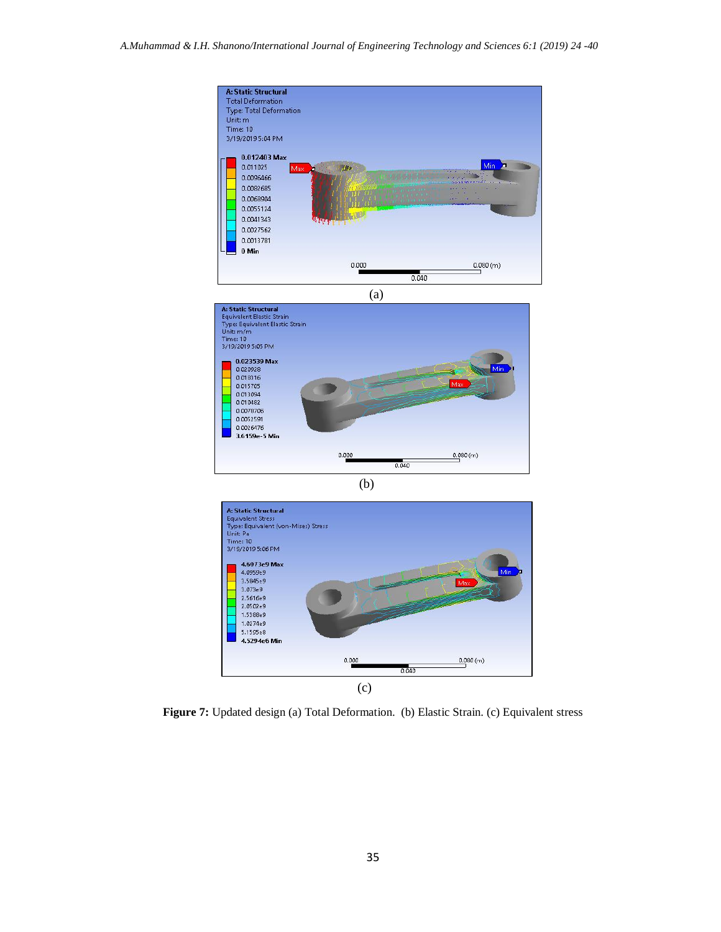



**Figure 7:** Updated design (a) Total Deformation. (b) Elastic Strain. (c) Equivalent stress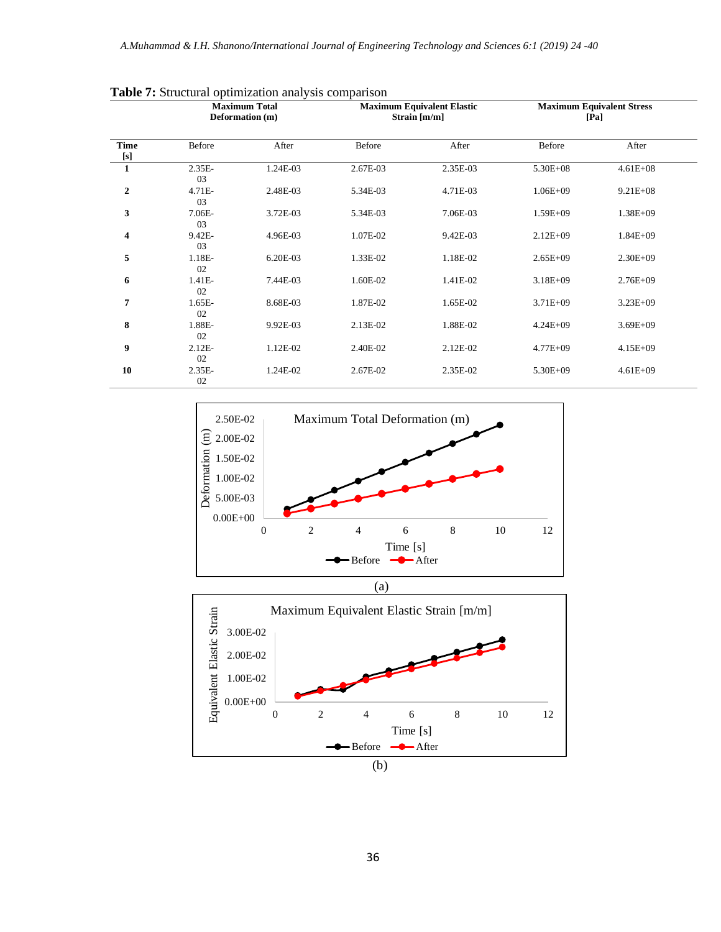|                  | <b>Maximum Total</b><br>Deformation (m) |          | <b>Maximum Equivalent Elastic</b><br>Strain $[m/m]$ |          | <b>Maximum Equivalent Stress</b><br>[Pa] |              |
|------------------|-----------------------------------------|----------|-----------------------------------------------------|----------|------------------------------------------|--------------|
| <b>Time</b>      | Before                                  | After    | Before                                              | After    | Before                                   | After        |
| $\mathbf{1}$     | $2.35E-$<br>03                          | 1.24E-03 | 2.67E-03                                            | 2.35E-03 | $5.30E + 08$                             | $4.61E + 08$ |
| $\boldsymbol{2}$ | 4.71E-<br>03                            | 2.48E-03 | 5.34E-03                                            | 4.71E-03 | $1.06E + 09$                             | $9.21E + 08$ |
| 3                | 7.06E-<br>03                            | 3.72E-03 | 5.34E-03                                            | 7.06E-03 | $1.59E + 09$                             | $1.38E + 09$ |
| 4                | 9.42E-<br>03                            | 4.96E-03 | 1.07E-02                                            | 9.42E-03 | $2.12E + 09$                             | $1.84E + 09$ |
| 5                | 1.18E-<br>02                            | 6.20E-03 | 1.33E-02                                            | 1.18E-02 | $2.65E+09$                               | $2.30E + 09$ |
| 6                | 1.41E-<br>02                            | 7.44E-03 | 1.60E-02                                            | 1.41E-02 | $3.18E + 09$                             | $2.76E + 09$ |
| 7                | $1.65E-$<br>02                          | 8.68E-03 | 1.87E-02                                            | 1.65E-02 | $3.71E + 09$                             | $3.23E + 09$ |
| 8                | 1.88E-<br>02                            | 9.92E-03 | 2.13E-02                                            | 1.88E-02 | $4.24E + 09$                             | $3.69E + 09$ |
| 9                | $2.12E-$<br>02                          | 1.12E-02 | 2.40E-02                                            | 2.12E-02 | $4.77E + 09$                             | $4.15E + 09$ |
| 10               | $2.35E-$<br>02                          | 1.24E-02 | 2.67E-02                                            | 2.35E-02 | 5.30E+09                                 | $4.61E + 09$ |

**Table 7:** Structural optimization analysis comparison



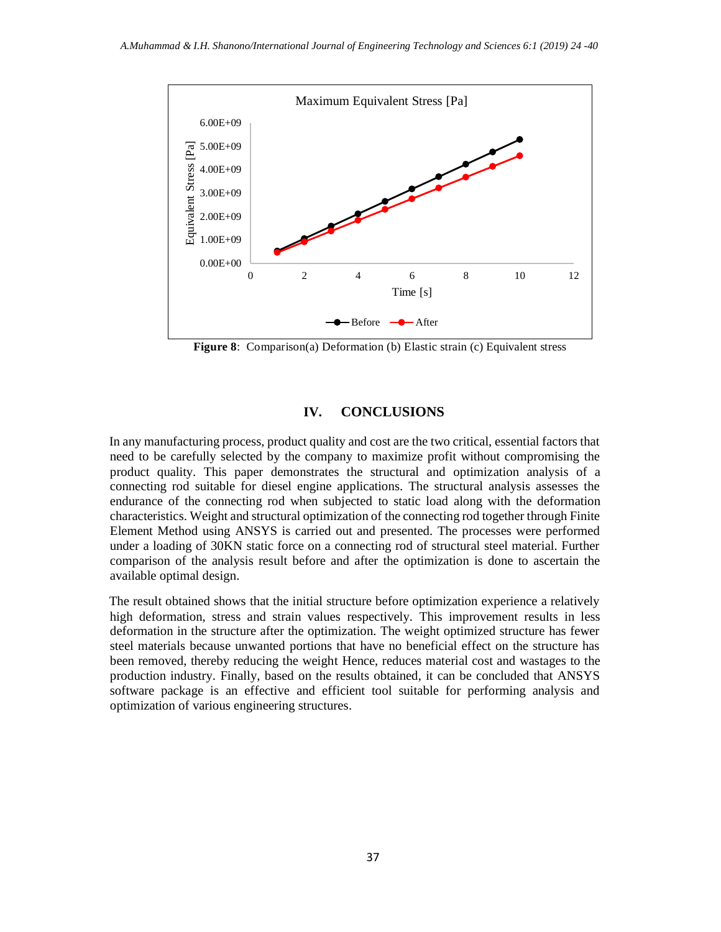

**Figure 8**: Comparison(a) Deformation (b) Elastic strain (c) Equivalent stress

## **IV. CONCLUSIONS**

In any manufacturing process, product quality and cost are the two critical, essential factors that need to be carefully selected by the company to maximize profit without compromising the product quality. This paper demonstrates the structural and optimization analysis of a connecting rod suitable for diesel engine applications. The structural analysis assesses the endurance of the connecting rod when subjected to static load along with the deformation characteristics. Weight and structural optimization of the connecting rod together through Finite Element Method using ANSYS is carried out and presented. The processes were performed under a loading of 30KN static force on a connecting rod of structural steel material. Further comparison of the analysis result before and after the optimization is done to ascertain the available optimal design.

The result obtained shows that the initial structure before optimization experience a relatively high deformation, stress and strain values respectively. This improvement results in less deformation in the structure after the optimization. The weight optimized structure has fewer steel materials because unwanted portions that have no beneficial effect on the structure has been removed, thereby reducing the weight Hence, reduces material cost and wastages to the production industry. Finally, based on the results obtained, it can be concluded that ANSYS software package is an effective and efficient tool suitable for performing analysis and optimization of various engineering structures.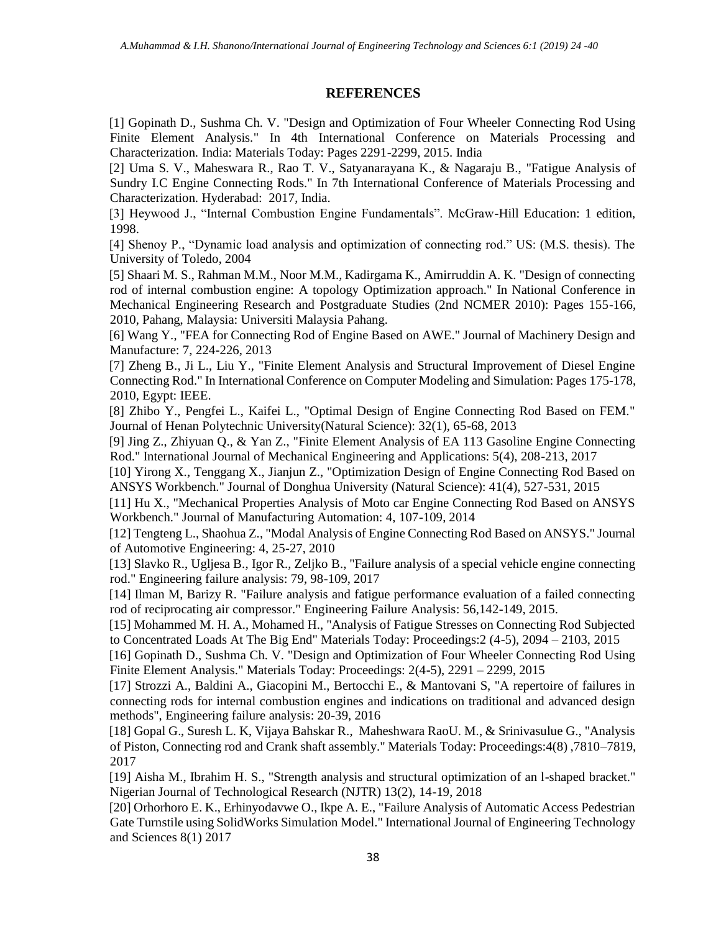## **REFERENCES**

[1] Gopinath D., Sushma Ch. V. "Design and Optimization of Four Wheeler Connecting Rod Using Finite Element Analysis." In 4th International Conference on Materials Processing and Characterization. India: Materials Today: Pages 2291-2299, 2015. India

[2] Uma S. V., Maheswara R., Rao T. V., Satyanarayana K., & Nagaraju B., "Fatigue Analysis of Sundry I.C Engine Connecting Rods." In 7th International Conference of Materials Processing and Characterization. Hyderabad: 2017, India.

[3] Heywood J., "Internal Combustion Engine Fundamentals". McGraw-Hill Education: 1 edition, 1998.

[4] Shenoy P., "Dynamic load analysis and optimization of connecting rod." US: (M.S. thesis). The University of Toledo, 2004

[5] Shaari M. S., Rahman M.M., Noor M.M., Kadirgama K., Amirruddin A. K. "Design of connecting rod of internal combustion engine: A topology Optimization approach." In National Conference in Mechanical Engineering Research and Postgraduate Studies (2nd NCMER 2010): Pages 155-166, 2010, Pahang, Malaysia: Universiti Malaysia Pahang.

[6] Wang Y., "FEA for Connecting Rod of Engine Based on AWE." Journal of Machinery Design and Manufacture: 7, 224-226, 2013

[7] Zheng B., Ji L., Liu Y., "Finite Element Analysis and Structural Improvement of Diesel Engine Connecting Rod." In International Conference on Computer Modeling and Simulation: Pages 175-178, 2010, Egypt: IEEE.

[8] Zhibo Y., Pengfei L., Kaifei L., "Optimal Design of Engine Connecting Rod Based on FEM." Journal of Henan Polytechnic University(Natural Science): 32(1), 65-68, 2013

[9] Jing Z., Zhiyuan Q., & Yan Z., "Finite Element Analysis of EA 113 Gasoline Engine Connecting Rod." International Journal of Mechanical Engineering and Applications: 5(4), 208-213, 2017

[10] Yirong X., Tenggang X., Jianjun Z., "Optimization Design of Engine Connecting Rod Based on ANSYS Workbench." Journal of Donghua University (Natural Science): 41(4), 527-531, 2015

[11] Hu X., "Mechanical Properties Analysis of Moto car Engine Connecting Rod Based on ANSYS Workbench." Journal of Manufacturing Automation: 4, 107-109, 2014

[12] Tengteng L., Shaohua Z., "Modal Analysis of Engine Connecting Rod Based on ANSYS." Journal of Automotive Engineering: 4, 25-27, 2010

[13] Slavko R., Ugljesa B., Igor R., Zeljko B., "Failure analysis of a special vehicle engine connecting rod." Engineering failure analysis: 79, 98-109, 2017

[14] Ilman M, Barizy R. "Failure analysis and fatigue performance evaluation of a failed connecting rod of reciprocating air compressor." Engineering Failure Analysis: 56,142-149, 2015.

[15] Mohammed M. H. A., Mohamed H., "Analysis of Fatigue Stresses on Connecting Rod Subjected to Concentrated Loads At The Big End" Materials Today: Proceedings:2 (4-5), 2094 – 2103, 2015

[16] Gopinath D., Sushma Ch. V. "Design and Optimization of Four Wheeler Connecting Rod Using Finite Element Analysis." Materials Today: Proceedings: 2(4-5), 2291 – 2299, 2015

[17] Strozzi A., Baldini A., Giacopini M., Bertocchi E., & Mantovani S, "A repertoire of failures in connecting rods for internal combustion engines and indications on traditional and advanced design methods", Engineering failure analysis: 20-39, 2016

[18] Gopal G., Suresh L. K, Vijaya Bahskar R., Maheshwara RaoU. M., & Srinivasulue G., "Analysis of Piston, Connecting rod and Crank shaft assembly." Materials Today: Proceedings:4(8) ,7810–7819, 2017

[19] Aisha M., Ibrahim H. S., "Strength analysis and structural optimization of an l-shaped bracket." Nigerian Journal of Technological Research (NJTR) 13(2), 14-19, 2018

[20] Orhorhoro E. K., Erhinyodavwe O., Ikpe A. E., "Failure Analysis of Automatic Access Pedestrian Gate Turnstile using SolidWorks Simulation Model." International Journal of Engineering Technology and Sciences 8(1) 2017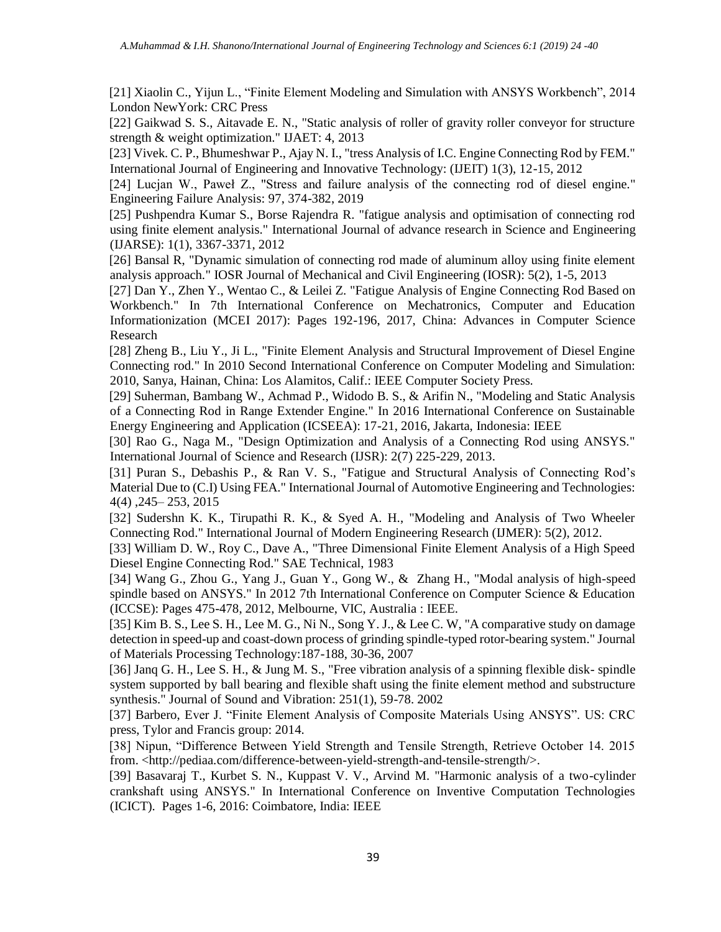[21] Xiaolin C., Yijun L., "Finite Element Modeling and Simulation with ANSYS Workbench", 2014 London NewYork: CRC Press

[22] Gaikwad S. S., Aitavade E. N., "Static analysis of roller of gravity roller conveyor for structure strength & weight optimization." IJAET: 4, 2013

[23] Vivek. C. P., Bhumeshwar P., Ajay N. I., "tress Analysis of I.C. Engine Connecting Rod by FEM." International Journal of Engineering and Innovative Technology: (IJEIT) 1(3), 12-15, 2012

[24] Lucjan W., Paweł Z., "Stress and failure analysis of the connecting rod of diesel engine." Engineering Failure Analysis: 97, 374-382, 2019

[25] Pushpendra Kumar S., Borse Rajendra R. "fatigue analysis and optimisation of connecting rod using finite element analysis." International Journal of advance research in Science and Engineering (IJARSE): 1(1), 3367-3371, 2012

[26] Bansal R, "Dynamic simulation of connecting rod made of aluminum alloy using finite element analysis approach." IOSR Journal of Mechanical and Civil Engineering (IOSR): 5(2), 1-5, 2013

[27] Dan Y., Zhen Y., Wentao C., & Leilei Z. "Fatigue Analysis of Engine Connecting Rod Based on Workbench." In 7th International Conference on Mechatronics, Computer and Education Informationization (MCEI 2017): Pages 192-196, 2017, China: Advances in Computer Science Research

[28] Zheng B., Liu Y., Ji L., "Finite Element Analysis and Structural Improvement of Diesel Engine Connecting rod." In 2010 Second International Conference on Computer Modeling and Simulation: 2010, Sanya, Hainan, China: Los Alamitos, Calif.: IEEE Computer Society Press.

[29] Suherman, Bambang W., Achmad P., Widodo B. S., & Arifin N., "Modeling and Static Analysis of a Connecting Rod in Range Extender Engine." In 2016 International Conference on Sustainable Energy Engineering and Application (ICSEEA): 17-21, 2016, Jakarta, Indonesia: IEEE

[30] Rao G., Naga M., "Design Optimization and Analysis of a Connecting Rod using ANSYS." International Journal of Science and Research (IJSR): 2(7) 225-229, 2013.

[31] Puran S., Debashis P., & Ran V. S., "Fatigue and Structural Analysis of Connecting Rod's Material Due to (C.I) Using FEA." International Journal of Automotive Engineering and Technologies: 4(4) ,245– 253, 2015

[32] Sudershn K. K., Tirupathi R. K., & Syed A. H., "Modeling and Analysis of Two Wheeler Connecting Rod." International Journal of Modern Engineering Research (IJMER): 5(2), 2012.

[33] William D. W., Roy C., Dave A., "Three Dimensional Finite Element Analysis of a High Speed Diesel Engine Connecting Rod." SAE Technical, 1983

[34] Wang G., Zhou G., Yang J., Guan Y., Gong W., & Zhang H., "Modal analysis of high-speed spindle based on ANSYS." In 2012 7th International Conference on Computer Science & Education (ICCSE): Pages 475-478, 2012, Melbourne, VIC, Australia : IEEE.

[35] Kim B. S., Lee S. H., Lee M. G., Ni N., Song Y. J., & Lee C. W, "A comparative study on damage detection in speed-up and coast-down process of grinding spindle-typed rotor-bearing system." Journal of Materials Processing Technology:187-188, 30-36, 2007

[36] Janq G. H., Lee S. H., & Jung M. S., "Free vibration analysis of a spinning flexible disk- spindle system supported by ball bearing and flexible shaft using the finite element method and substructure synthesis." Journal of Sound and Vibration: 251(1), 59-78. 2002

[37] Barbero, Ever J. "Finite Element Analysis of Composite Materials Using ANSYS". US: CRC press, Tylor and Francis group: 2014.

[38] Nipun, "Difference Between Yield Strength and Tensile Strength, Retrieve October 14. 2015 from. <http://pediaa.com/difference-between-yield-strength-and-tensile-strength/>.

[39] Basavaraj T., Kurbet S. N., Kuppast V. V., Arvind M. "Harmonic analysis of a two-cylinder crankshaft using ANSYS." In International Conference on Inventive Computation Technologies (ICICT). Pages 1-6, 2016: Coimbatore, India: IEEE